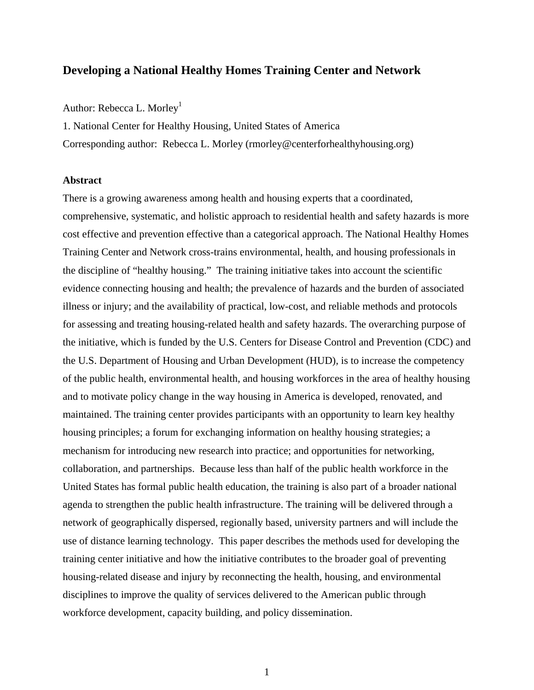# **Developing a National Healthy Homes Training Center and Network**

Author: Rebecca L. Morley<sup>1</sup>

1. National Center for Healthy Housing, United States of America Corresponding author: Rebecca L. Morley (rmorley@centerforhealthyhousing.org)

#### **Abstract**

There is a growing awareness among health and housing experts that a coordinated, comprehensive, systematic, and holistic approach to residential health and safety hazards is more cost effective and prevention effective than a categorical approach. The National Healthy Homes Training Center and Network cross-trains environmental, health, and housing professionals in the discipline of "healthy housing." The training initiative takes into account the scientific evidence connecting housing and health; the prevalence of hazards and the burden of associated illness or injury; and the availability of practical, low-cost, and reliable methods and protocols for assessing and treating housing-related health and safety hazards. The overarching purpose of the initiative, which is funded by the U.S. Centers for Disease Control and Prevention (CDC) and the U.S. Department of Housing and Urban Development (HUD), is to increase the competency of the public health, environmental health, and housing workforces in the area of healthy housing and to motivate policy change in the way housing in America is developed, renovated, and maintained. The training center provides participants with an opportunity to learn key healthy housing principles; a forum for exchanging information on healthy housing strategies; a mechanism for introducing new research into practice; and opportunities for networking, collaboration, and partnerships. Because less than half of the public health workforce in the United States has formal public health education, the training is also part of a broader national agenda to strengthen the public health infrastructure. The training will be delivered through a network of geographically dispersed, regionally based, university partners and will include the use of distance learning technology. This paper describes the methods used for developing the training center initiative and how the initiative contributes to the broader goal of preventing housing-related disease and injury by reconnecting the health, housing, and environmental disciplines to improve the quality of services delivered to the American public through workforce development, capacity building, and policy dissemination.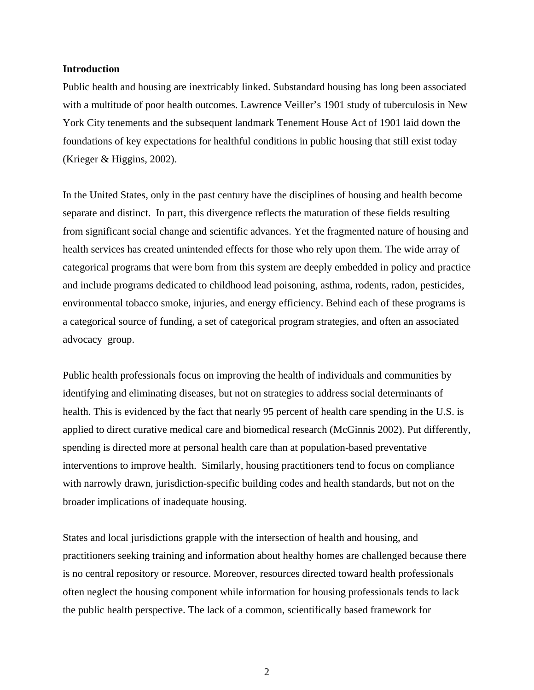#### **Introduction**

Public health and housing are inextricably linked. Substandard housing has long been associated with a multitude of poor health outcomes. Lawrence Veiller's 1901 study of tuberculosis in New York City tenements and the subsequent landmark Tenement House Act of 1901 laid down the foundations of key expectations for healthful conditions in public housing that still exist today (Krieger & Higgins, 2002).

In the United States, only in the past century have the disciplines of housing and health become separate and distinct. In part, this divergence reflects the maturation of these fields resulting from significant social change and scientific advances. Yet the fragmented nature of housing and health services has created unintended effects for those who rely upon them. The wide array of categorical programs that were born from this system are deeply embedded in policy and practice and include programs dedicated to childhood lead poisoning, asthma, rodents, radon, pesticides, environmental tobacco smoke, injuries, and energy efficiency. Behind each of these programs is a categorical source of funding, a set of categorical program strategies, and often an associated advocacy group.

Public health professionals focus on improving the health of individuals and communities by identifying and eliminating diseases, but not on strategies to address social determinants of health. This is evidenced by the fact that nearly 95 percent of health care spending in the U.S. is applied to direct curative medical care and biomedical research (McGinnis 2002). Put differently, spending is directed more at personal health care than at population-based preventative interventions to improve health. Similarly, housing practitioners tend to focus on compliance with narrowly drawn, jurisdiction-specific building codes and health standards, but not on the broader implications of inadequate housing.

States and local jurisdictions grapple with the intersection of health and housing, and practitioners seeking training and information about healthy homes are challenged because there is no central repository or resource. Moreover, resources directed toward health professionals often neglect the housing component while information for housing professionals tends to lack the public health perspective. The lack of a common, scientifically based framework for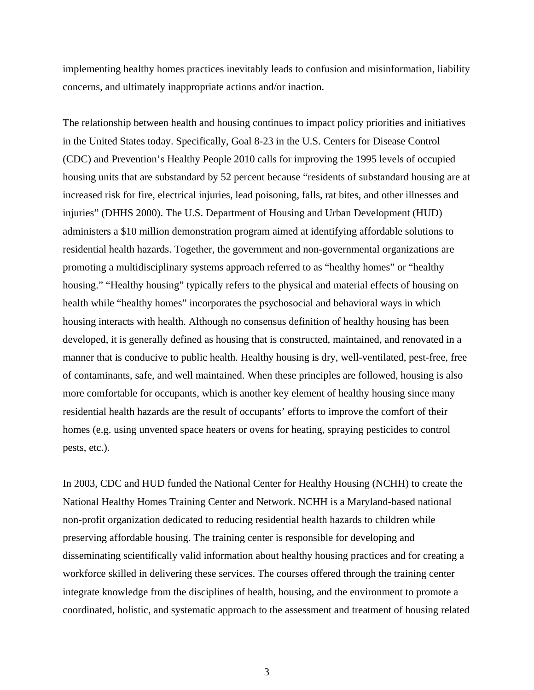implementing healthy homes practices inevitably leads to confusion and misinformation, liability concerns, and ultimately inappropriate actions and/or inaction.

The relationship between health and housing continues to impact policy priorities and initiatives in the United States today. Specifically, Goal 8-23 in the U.S. Centers for Disease Control (CDC) and Prevention's Healthy People 2010 calls for improving the 1995 levels of occupied housing units that are substandard by 52 percent because "residents of substandard housing are at increased risk for fire, electrical injuries, lead poisoning, falls, rat bites, and other illnesses and injuries" (DHHS 2000). The U.S. Department of Housing and Urban Development (HUD) administers a \$10 million demonstration program aimed at identifying affordable solutions to residential health hazards. Together, the government and non-governmental organizations are promoting a multidisciplinary systems approach referred to as "healthy homes" or "healthy housing." "Healthy housing" typically refers to the physical and material effects of housing on health while "healthy homes" incorporates the psychosocial and behavioral ways in which housing interacts with health. Although no consensus definition of healthy housing has been developed, it is generally defined as housing that is constructed, maintained, and renovated in a manner that is conducive to public health. Healthy housing is dry, well-ventilated, pest-free, free of contaminants, safe, and well maintained. When these principles are followed, housing is also more comfortable for occupants, which is another key element of healthy housing since many residential health hazards are the result of occupants' efforts to improve the comfort of their homes (e.g. using unvented space heaters or ovens for heating, spraying pesticides to control pests, etc.).

In 2003, CDC and HUD funded the National Center for Healthy Housing (NCHH) to create the National Healthy Homes Training Center and Network. NCHH is a Maryland-based national non-profit organization dedicated to reducing residential health hazards to children while preserving affordable housing. The training center is responsible for developing and disseminating scientifically valid information about healthy housing practices and for creating a workforce skilled in delivering these services. The courses offered through the training center integrate knowledge from the disciplines of health, housing, and the environment to promote a coordinated, holistic, and systematic approach to the assessment and treatment of housing related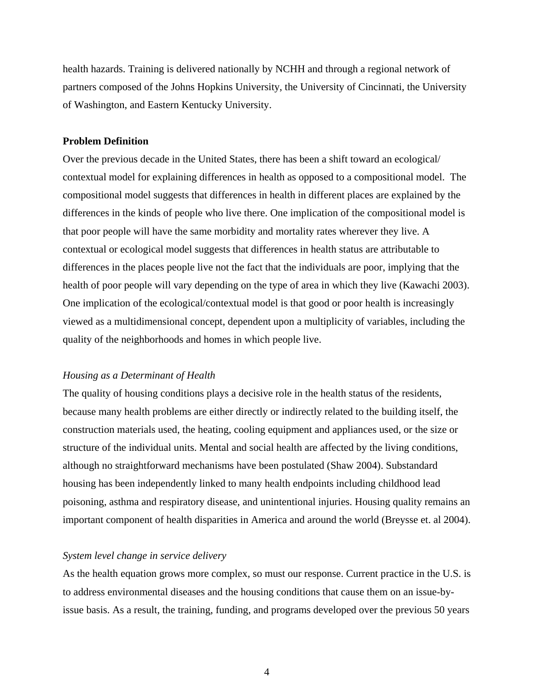health hazards. Training is delivered nationally by NCHH and through a regional network of partners composed of the Johns Hopkins University, the University of Cincinnati, the University of Washington, and Eastern Kentucky University.

#### **Problem Definition**

Over the previous decade in the United States, there has been a shift toward an ecological/ contextual model for explaining differences in health as opposed to a compositional model. The compositional model suggests that differences in health in different places are explained by the differences in the kinds of people who live there. One implication of the compositional model is that poor people will have the same morbidity and mortality rates wherever they live. A contextual or ecological model suggests that differences in health status are attributable to differences in the places people live not the fact that the individuals are poor, implying that the health of poor people will vary depending on the type of area in which they live (Kawachi 2003). One implication of the ecological/contextual model is that good or poor health is increasingly viewed as a multidimensional concept, dependent upon a multiplicity of variables, including the quality of the neighborhoods and homes in which people live.

## *Housing as a Determinant of Health*

The quality of housing conditions plays a decisive role in the health status of the residents, because many health problems are either directly or indirectly related to the building itself, the construction materials used, the heating, cooling equipment and appliances used, or the size or structure of the individual units. Mental and social health are affected by the living conditions, although no straightforward mechanisms have been postulated (Shaw 2004). Substandard housing has been independently linked to many health endpoints including childhood lead poisoning, asthma and respiratory disease, and unintentional injuries. Housing quality remains an important component of health disparities in America and around the world (Breysse et. al 2004).

## *System level change in service delivery*

As the health equation grows more complex, so must our response. Current practice in the U.S. is to address environmental diseases and the housing conditions that cause them on an issue-byissue basis. As a result, the training, funding, and programs developed over the previous 50 years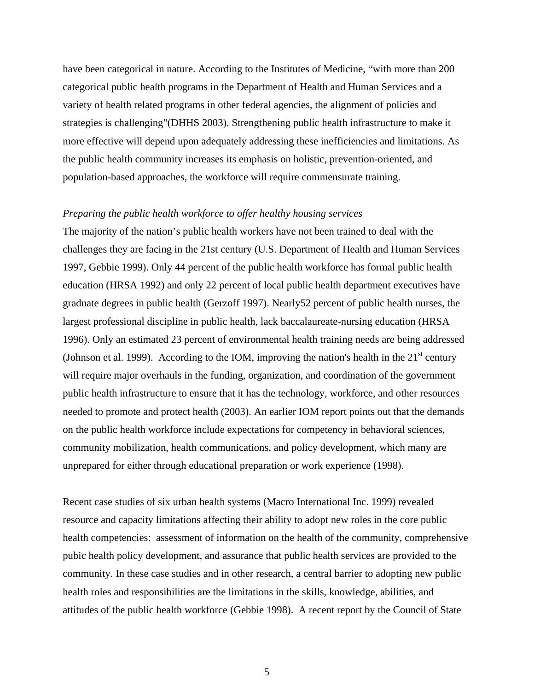have been categorical in nature. According to the Institutes of Medicine, "with more than 200 categorical public health programs in the Department of Health and Human Services and a variety of health related programs in other federal agencies, the alignment of policies and strategies is challenging"(DHHS 2003). Strengthening public health infrastructure to make it more effective will depend upon adequately addressing these inefficiencies and limitations. As the public health community increases its emphasis on holistic, prevention-oriented, and population-based approaches, the workforce will require commensurate training.

#### *Preparing the public health workforce to offer healthy housing services*

The majority of the nation's public health workers have not been trained to deal with the challenges they are facing in the 21st century (U.S. Department of Health and Human Services 1997, Gebbie 1999). Only 44 percent of the public health workforce has formal public health education (HRSA 1992) and only 22 percent of local public health department executives have graduate degrees in public health (Gerzoff 1997). Nearly52 percent of public health nurses, the largest professional discipline in public health, lack baccalaureate-nursing education (HRSA 1996). Only an estimated 23 percent of environmental health training needs are being addressed (Johnson et al. 1999). According to the IOM, improving the nation's health in the  $21<sup>st</sup>$  century will require major overhauls in the funding, organization, and coordination of the government public health infrastructure to ensure that it has the technology, workforce, and other resources needed to promote and protect health (2003). An earlier IOM report points out that the demands on the public health workforce include expectations for competency in behavioral sciences, community mobilization, health communications, and policy development, which many are unprepared for either through educational preparation or work experience (1998).

Recent case studies of six urban health systems (Macro International Inc. 1999) revealed resource and capacity limitations affecting their ability to adopt new roles in the core public health competencies: assessment of information on the health of the community, comprehensive pubic health policy development, and assurance that public health services are provided to the community. In these case studies and in other research, a central barrier to adopting new public health roles and responsibilities are the limitations in the skills, knowledge, abilities, and attitudes of the public health workforce (Gebbie 1998). A recent report by the Council of State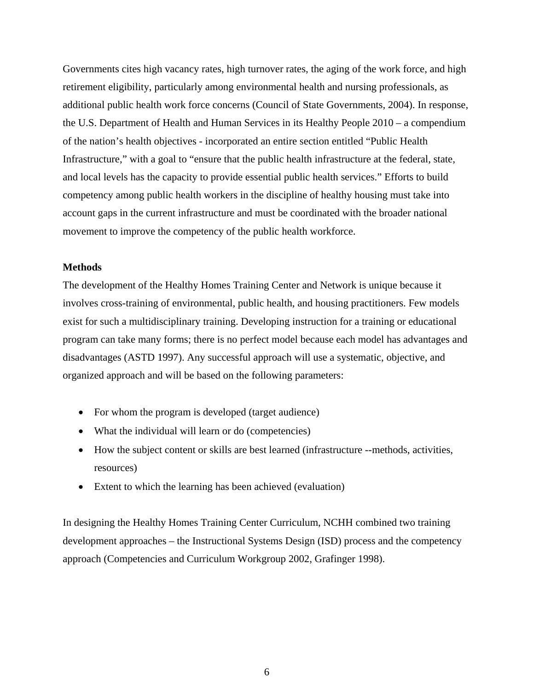Governments cites high vacancy rates, high turnover rates, the aging of the work force, and high retirement eligibility, particularly among environmental health and nursing professionals, as additional public health work force concerns (Council of State Governments, 2004). In response, the U.S. Department of Health and Human Services in its Healthy People 2010 – a compendium of the nation's health objectives - incorporated an entire section entitled "Public Health Infrastructure," with a goal to "ensure that the public health infrastructure at the federal, state, and local levels has the capacity to provide essential public health services." Efforts to build competency among public health workers in the discipline of healthy housing must take into account gaps in the current infrastructure and must be coordinated with the broader national movement to improve the competency of the public health workforce.

### **Methods**

The development of the Healthy Homes Training Center and Network is unique because it involves cross-training of environmental, public health, and housing practitioners. Few models exist for such a multidisciplinary training. Developing instruction for a training or educational program can take many forms; there is no perfect model because each model has advantages and disadvantages (ASTD 1997). Any successful approach will use a systematic, objective, and organized approach and will be based on the following parameters:

- For whom the program is developed (target audience)
- What the individual will learn or do (competencies)
- How the subject content or skills are best learned (infrastructure --methods, activities, resources)
- Extent to which the learning has been achieved (evaluation)

In designing the Healthy Homes Training Center Curriculum, NCHH combined two training development approaches – the Instructional Systems Design (ISD) process and the competency approach (Competencies and Curriculum Workgroup 2002, Grafinger 1998).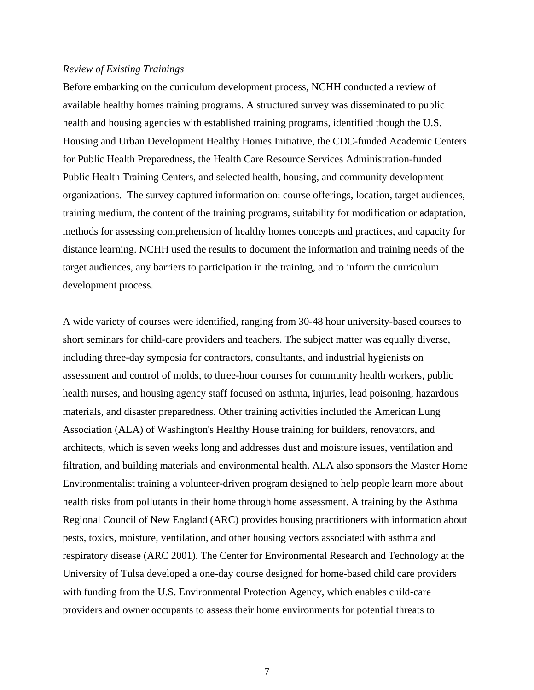#### *Review of Existing Trainings*

Before embarking on the curriculum development process, NCHH conducted a review of available healthy homes training programs. A structured survey was disseminated to public health and housing agencies with established training programs, identified though the U.S. Housing and Urban Development Healthy Homes Initiative, the CDC-funded Academic Centers for Public Health Preparedness, the Health Care Resource Services Administration-funded Public Health Training Centers, and selected health, housing, and community development organizations. The survey captured information on: course offerings, location, target audiences, training medium, the content of the training programs, suitability for modification or adaptation, methods for assessing comprehension of healthy homes concepts and practices, and capacity for distance learning. NCHH used the results to document the information and training needs of the target audiences, any barriers to participation in the training, and to inform the curriculum development process.

A wide variety of courses were identified, ranging from 30-48 hour university-based courses to short seminars for child-care providers and teachers. The subject matter was equally diverse, including three-day symposia for contractors, consultants, and industrial hygienists on assessment and control of molds, to three-hour courses for community health workers, public health nurses, and housing agency staff focused on asthma, injuries, lead poisoning, hazardous materials, and disaster preparedness. Other training activities included the American Lung Association (ALA) of Washington's Healthy House training for builders, renovators, and architects, which is seven weeks long and addresses dust and moisture issues, ventilation and filtration, and building materials and environmental health. ALA also sponsors the Master Home Environmentalist training a volunteer-driven program designed to help people learn more about health risks from pollutants in their home through home assessment. A training by the Asthma Regional Council of New England (ARC) provides housing practitioners with information about pests, toxics, moisture, ventilation, and other housing vectors associated with asthma and respiratory disease (ARC 2001). The Center for Environmental Research and Technology at the University of Tulsa developed a one-day course designed for home-based child care providers with funding from the U.S. Environmental Protection Agency, which enables child-care providers and owner occupants to assess their home environments for potential threats to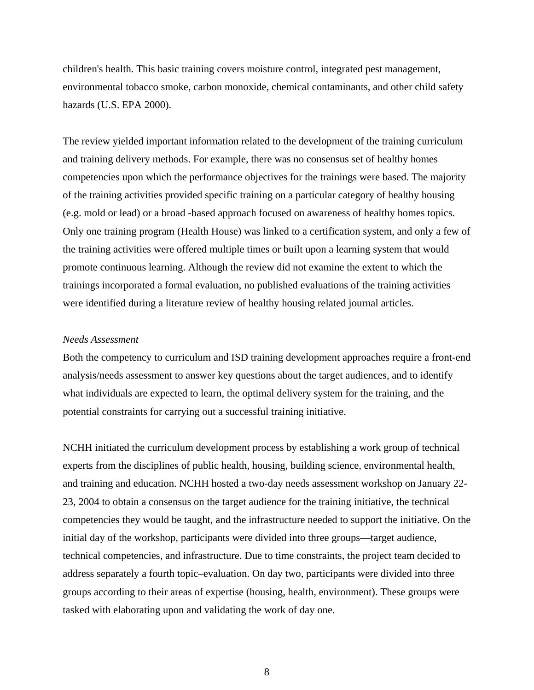children's health. This basic training covers moisture control, integrated pest management, environmental tobacco smoke, carbon monoxide, chemical contaminants, and other child safety hazards (U.S. EPA 2000).

The review yielded important information related to the development of the training curriculum and training delivery methods. For example, there was no consensus set of healthy homes competencies upon which the performance objectives for the trainings were based. The majority of the training activities provided specific training on a particular category of healthy housing (e.g. mold or lead) or a broad -based approach focused on awareness of healthy homes topics. Only one training program (Health House) was linked to a certification system, and only a few of the training activities were offered multiple times or built upon a learning system that would promote continuous learning. Although the review did not examine the extent to which the trainings incorporated a formal evaluation, no published evaluations of the training activities were identified during a literature review of healthy housing related journal articles.

#### *Needs Assessment*

Both the competency to curriculum and ISD training development approaches require a front-end analysis/needs assessment to answer key questions about the target audiences, and to identify what individuals are expected to learn, the optimal delivery system for the training, and the potential constraints for carrying out a successful training initiative.

NCHH initiated the curriculum development process by establishing a work group of technical experts from the disciplines of public health, housing, building science, environmental health, and training and education. NCHH hosted a two-day needs assessment workshop on January 22- 23, 2004 to obtain a consensus on the target audience for the training initiative, the technical competencies they would be taught, and the infrastructure needed to support the initiative. On the initial day of the workshop, participants were divided into three groups—target audience, technical competencies, and infrastructure. Due to time constraints, the project team decided to address separately a fourth topic–evaluation. On day two, participants were divided into three groups according to their areas of expertise (housing, health, environment). These groups were tasked with elaborating upon and validating the work of day one.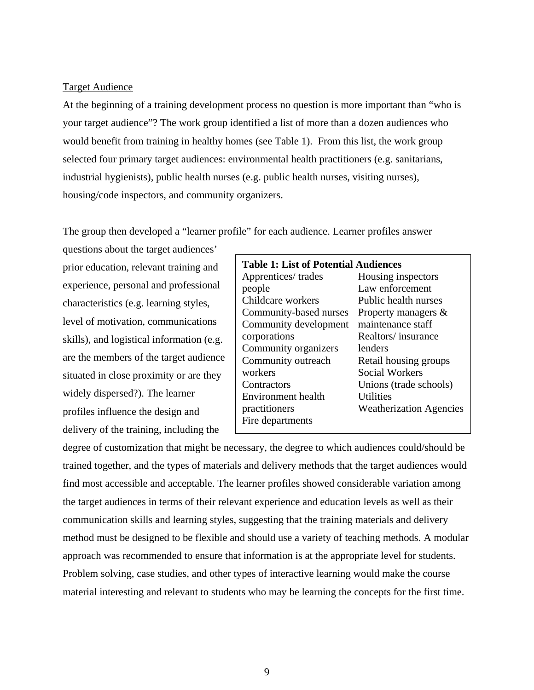#### Target Audience

At the beginning of a training development process no question is more important than "who is your target audience"? The work group identified a list of more than a dozen audiences who would benefit from training in healthy homes (see Table 1). From this list, the work group selected four primary target audiences: environmental health practitioners (e.g. sanitarians, industrial hygienists), public health nurses (e.g. public health nurses, visiting nurses), housing/code inspectors, and community organizers.

The group then developed a "learner profile" for each audience. Learner profiles answer

questions about the target audiences' prior education, relevant training and experience, personal and professional characteristics (e.g. learning styles, level of motivation, communications skills), and logistical information (e.g. are the members of the target audience situated in close proximity or are they widely dispersed?). The learner profiles influence the design and delivery of the training, including the

| <b>Table 1: List of Potential Audiences</b> |                                |
|---------------------------------------------|--------------------------------|
| Apprentices/trades                          | Housing inspectors             |
| people                                      | Law enforcement                |
| Childcare workers                           | Public health nurses           |
| Community-based nurses                      | Property managers &            |
| Community development                       | maintenance staff              |
| corporations                                | Realtors/insurance             |
| Community organizers                        | lenders                        |
| Community outreach                          | Retail housing groups          |
| workers                                     | Social Workers                 |
| Contractors                                 | Unions (trade schools)         |
| Environment health                          | <b>Utilities</b>               |
| practitioners                               | <b>Weatherization Agencies</b> |
| Fire departments                            |                                |

degree of customization that might be necessary, the degree to which audiences could/should be trained together, and the types of materials and delivery methods that the target audiences would find most accessible and acceptable. The learner profiles showed considerable variation among the target audiences in terms of their relevant experience and education levels as well as their communication skills and learning styles, suggesting that the training materials and delivery method must be designed to be flexible and should use a variety of teaching methods. A modular approach was recommended to ensure that information is at the appropriate level for students. Problem solving, case studies, and other types of interactive learning would make the course material interesting and relevant to students who may be learning the concepts for the first time.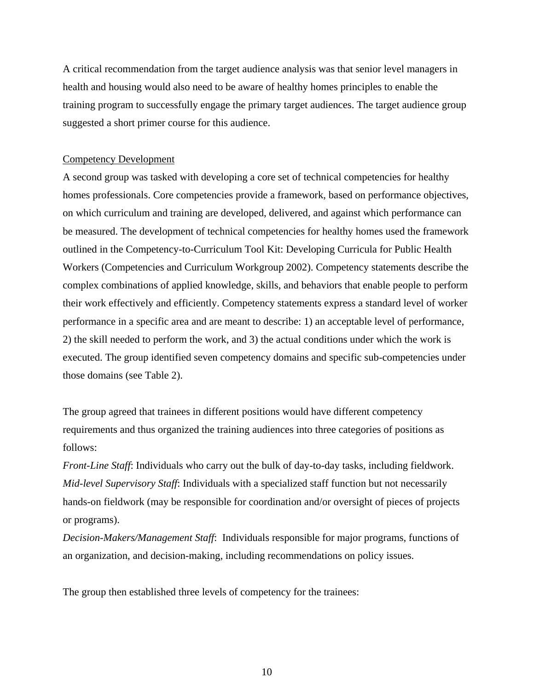A critical recommendation from the target audience analysis was that senior level managers in health and housing would also need to be aware of healthy homes principles to enable the training program to successfully engage the primary target audiences. The target audience group suggested a short primer course for this audience.

#### Competency Development

A second group was tasked with developing a core set of technical competencies for healthy homes professionals. Core competencies provide a framework, based on performance objectives, on which curriculum and training are developed, delivered, and against which performance can be measured. The development of technical competencies for healthy homes used the framework outlined in the Competency-to-Curriculum Tool Kit: Developing Curricula for Public Health Workers (Competencies and Curriculum Workgroup 2002). Competency statements describe the complex combinations of applied knowledge, skills, and behaviors that enable people to perform their work effectively and efficiently. Competency statements express a standard level of worker performance in a specific area and are meant to describe: 1) an acceptable level of performance, 2) the skill needed to perform the work, and 3) the actual conditions under which the work is executed. The group identified seven competency domains and specific sub-competencies under those domains (see Table 2).

The group agreed that trainees in different positions would have different competency requirements and thus organized the training audiences into three categories of positions as follows:

*Front-Line Staff*: Individuals who carry out the bulk of day-to-day tasks, including fieldwork. *Mid-level Supervisory Staff*: Individuals with a specialized staff function but not necessarily hands-on fieldwork (may be responsible for coordination and/or oversight of pieces of projects or programs).

*Decision-Makers/Management Staff*: Individuals responsible for major programs, functions of an organization, and decision-making, including recommendations on policy issues.

The group then established three levels of competency for the trainees: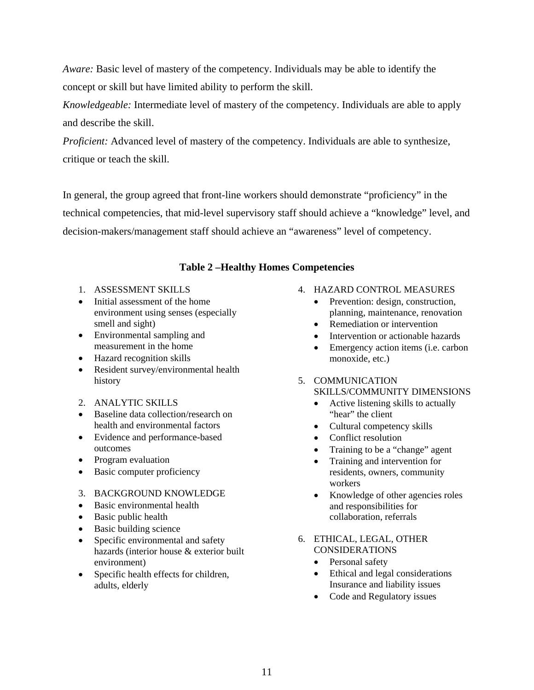*Aware:* Basic level of mastery of the competency. Individuals may be able to identify the concept or skill but have limited ability to perform the skill.

*Knowledgeable:* Intermediate level of mastery of the competency. Individuals are able to apply and describe the skill.

*Proficient:* Advanced level of mastery of the competency. Individuals are able to synthesize, critique or teach the skill.

In general, the group agreed that front-line workers should demonstrate "proficiency" in the technical competencies, that mid-level supervisory staff should achieve a "knowledge" level, and decision-makers/management staff should achieve an "awareness" level of competency.

## **Table 2 –Healthy Homes Competencies**

- 1. ASSESSMENT SKILLS
- Initial assessment of the home environment using senses (especially smell and sight)
- Environmental sampling and measurement in the home
- Hazard recognition skills
- Resident survey/environmental health history
- 2. ANALYTIC SKILLS
- Baseline data collection/research on health and environmental factors
- Evidence and performance-based outcomes
- Program evaluation
- Basic computer proficiency
- 3. BACKGROUND KNOWLEDGE
- Basic environmental health
- Basic public health
- Basic building science
- Specific environmental and safety hazards (interior house & exterior built environment)
- Specific health effects for children, adults, elderly

## 4. HAZARD CONTROL MEASURES

- Prevention: design, construction, planning, maintenance, renovation
- Remediation or intervention
- Intervention or actionable hazards
- Emergency action items (i.e. carbon monoxide, etc.)
- 5. COMMUNICATION SKILLS/COMMUNITY DIMENSIONS
	- Active listening skills to actually "hear" the client
	- Cultural competency skills
	- Conflict resolution
	- Training to be a "change" agent
	- Training and intervention for residents, owners, community workers
	- Knowledge of other agencies roles and responsibilities for collaboration, referrals
- 6. ETHICAL, LEGAL, OTHER CONSIDERATIONS
	- Personal safety
	- Ethical and legal considerations Insurance and liability issues
	- Code and Regulatory issues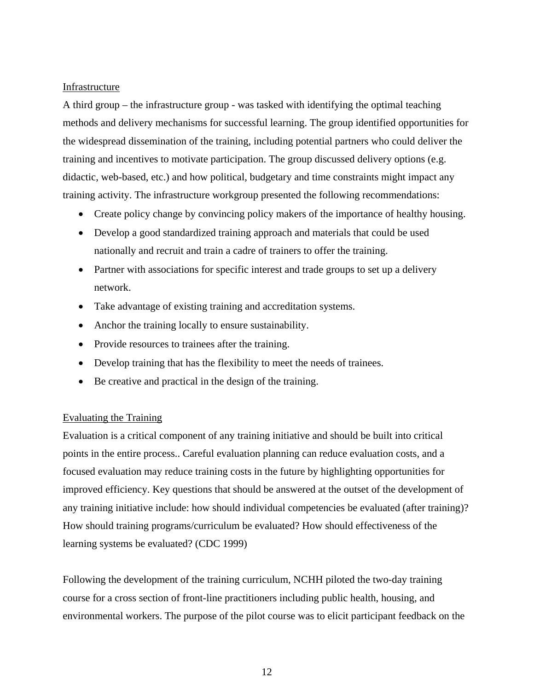## Infrastructure

A third group – the infrastructure group - was tasked with identifying the optimal teaching methods and delivery mechanisms for successful learning. The group identified opportunities for the widespread dissemination of the training, including potential partners who could deliver the training and incentives to motivate participation. The group discussed delivery options (e.g. didactic, web-based, etc.) and how political, budgetary and time constraints might impact any training activity. The infrastructure workgroup presented the following recommendations:

- Create policy change by convincing policy makers of the importance of healthy housing.
- Develop a good standardized training approach and materials that could be used nationally and recruit and train a cadre of trainers to offer the training.
- Partner with associations for specific interest and trade groups to set up a delivery network.
- Take advantage of existing training and accreditation systems.
- Anchor the training locally to ensure sustainability.
- Provide resources to trainees after the training.
- Develop training that has the flexibility to meet the needs of trainees.
- Be creative and practical in the design of the training.

## Evaluating the Training

Evaluation is a critical component of any training initiative and should be built into critical points in the entire process.. Careful evaluation planning can reduce evaluation costs, and a focused evaluation may reduce training costs in the future by highlighting opportunities for improved efficiency. Key questions that should be answered at the outset of the development of any training initiative include: how should individual competencies be evaluated (after training)? How should training programs/curriculum be evaluated? How should effectiveness of the learning systems be evaluated? (CDC 1999)

Following the development of the training curriculum, NCHH piloted the two-day training course for a cross section of front-line practitioners including public health, housing, and environmental workers. The purpose of the pilot course was to elicit participant feedback on the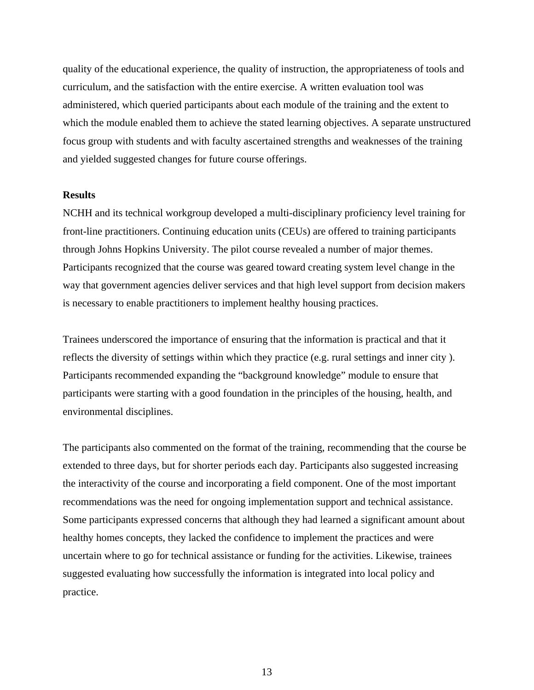quality of the educational experience, the quality of instruction, the appropriateness of tools and curriculum, and the satisfaction with the entire exercise. A written evaluation tool was administered, which queried participants about each module of the training and the extent to which the module enabled them to achieve the stated learning objectives. A separate unstructured focus group with students and with faculty ascertained strengths and weaknesses of the training and yielded suggested changes for future course offerings.

#### **Results**

NCHH and its technical workgroup developed a multi-disciplinary proficiency level training for front-line practitioners. Continuing education units (CEUs) are offered to training participants through Johns Hopkins University. The pilot course revealed a number of major themes. Participants recognized that the course was geared toward creating system level change in the way that government agencies deliver services and that high level support from decision makers is necessary to enable practitioners to implement healthy housing practices.

Trainees underscored the importance of ensuring that the information is practical and that it reflects the diversity of settings within which they practice (e.g. rural settings and inner city ). Participants recommended expanding the "background knowledge" module to ensure that participants were starting with a good foundation in the principles of the housing, health, and environmental disciplines.

The participants also commented on the format of the training, recommending that the course be extended to three days, but for shorter periods each day. Participants also suggested increasing the interactivity of the course and incorporating a field component. One of the most important recommendations was the need for ongoing implementation support and technical assistance. Some participants expressed concerns that although they had learned a significant amount about healthy homes concepts, they lacked the confidence to implement the practices and were uncertain where to go for technical assistance or funding for the activities. Likewise, trainees suggested evaluating how successfully the information is integrated into local policy and practice.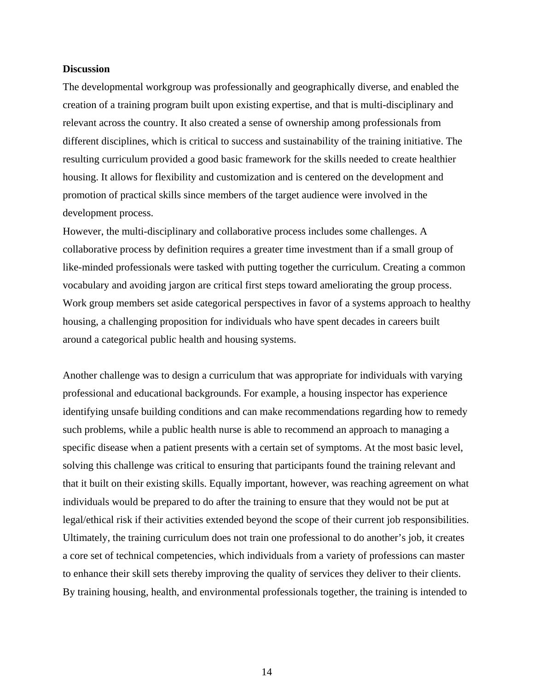#### **Discussion**

The developmental workgroup was professionally and geographically diverse, and enabled the creation of a training program built upon existing expertise, and that is multi-disciplinary and relevant across the country. It also created a sense of ownership among professionals from different disciplines, which is critical to success and sustainability of the training initiative. The resulting curriculum provided a good basic framework for the skills needed to create healthier housing. It allows for flexibility and customization and is centered on the development and promotion of practical skills since members of the target audience were involved in the development process.

However, the multi-disciplinary and collaborative process includes some challenges. A collaborative process by definition requires a greater time investment than if a small group of like-minded professionals were tasked with putting together the curriculum. Creating a common vocabulary and avoiding jargon are critical first steps toward ameliorating the group process. Work group members set aside categorical perspectives in favor of a systems approach to healthy housing, a challenging proposition for individuals who have spent decades in careers built around a categorical public health and housing systems.

Another challenge was to design a curriculum that was appropriate for individuals with varying professional and educational backgrounds. For example, a housing inspector has experience identifying unsafe building conditions and can make recommendations regarding how to remedy such problems, while a public health nurse is able to recommend an approach to managing a specific disease when a patient presents with a certain set of symptoms. At the most basic level, solving this challenge was critical to ensuring that participants found the training relevant and that it built on their existing skills. Equally important, however, was reaching agreement on what individuals would be prepared to do after the training to ensure that they would not be put at legal/ethical risk if their activities extended beyond the scope of their current job responsibilities. Ultimately, the training curriculum does not train one professional to do another's job, it creates a core set of technical competencies, which individuals from a variety of professions can master to enhance their skill sets thereby improving the quality of services they deliver to their clients. By training housing, health, and environmental professionals together, the training is intended to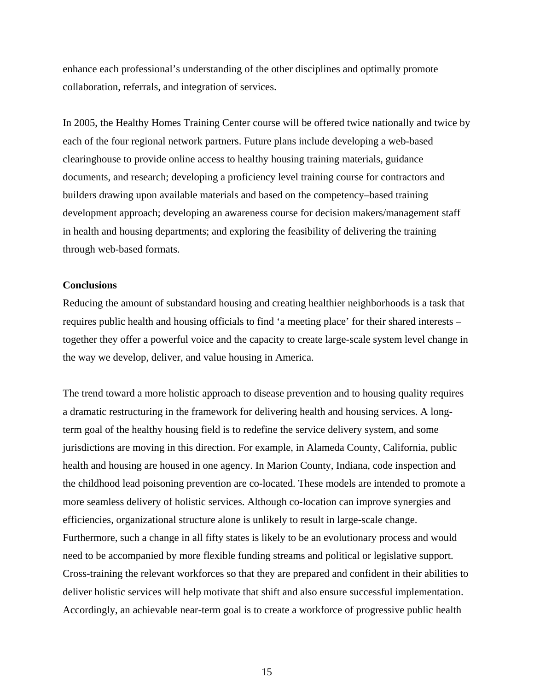enhance each professional's understanding of the other disciplines and optimally promote collaboration, referrals, and integration of services.

In 2005, the Healthy Homes Training Center course will be offered twice nationally and twice by each of the four regional network partners. Future plans include developing a web-based clearinghouse to provide online access to healthy housing training materials, guidance documents, and research; developing a proficiency level training course for contractors and builders drawing upon available materials and based on the competency–based training development approach; developing an awareness course for decision makers/management staff in health and housing departments; and exploring the feasibility of delivering the training through web-based formats.

#### **Conclusions**

Reducing the amount of substandard housing and creating healthier neighborhoods is a task that requires public health and housing officials to find 'a meeting place' for their shared interests – together they offer a powerful voice and the capacity to create large-scale system level change in the way we develop, deliver, and value housing in America.

The trend toward a more holistic approach to disease prevention and to housing quality requires a dramatic restructuring in the framework for delivering health and housing services. A longterm goal of the healthy housing field is to redefine the service delivery system, and some jurisdictions are moving in this direction. For example, in Alameda County, California, public health and housing are housed in one agency. In Marion County, Indiana, code inspection and the childhood lead poisoning prevention are co-located. These models are intended to promote a more seamless delivery of holistic services. Although co-location can improve synergies and efficiencies, organizational structure alone is unlikely to result in large-scale change. Furthermore, such a change in all fifty states is likely to be an evolutionary process and would need to be accompanied by more flexible funding streams and political or legislative support. Cross-training the relevant workforces so that they are prepared and confident in their abilities to deliver holistic services will help motivate that shift and also ensure successful implementation. Accordingly, an achievable near-term goal is to create a workforce of progressive public health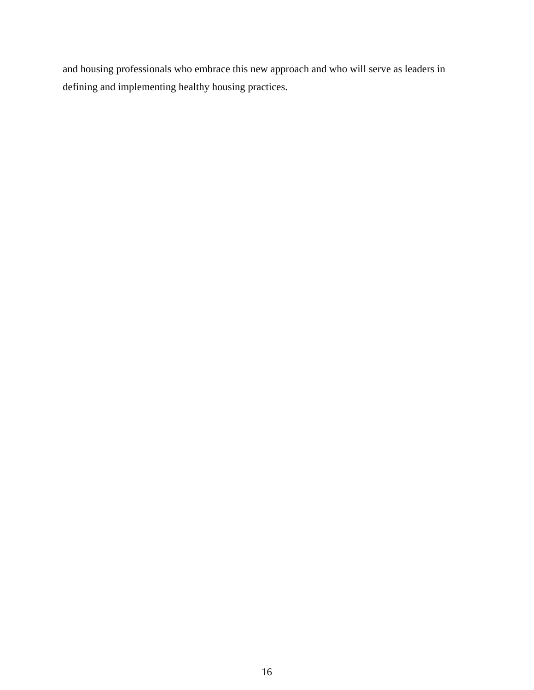and housing professionals who embrace this new approach and who will serve as leaders in defining and implementing healthy housing practices.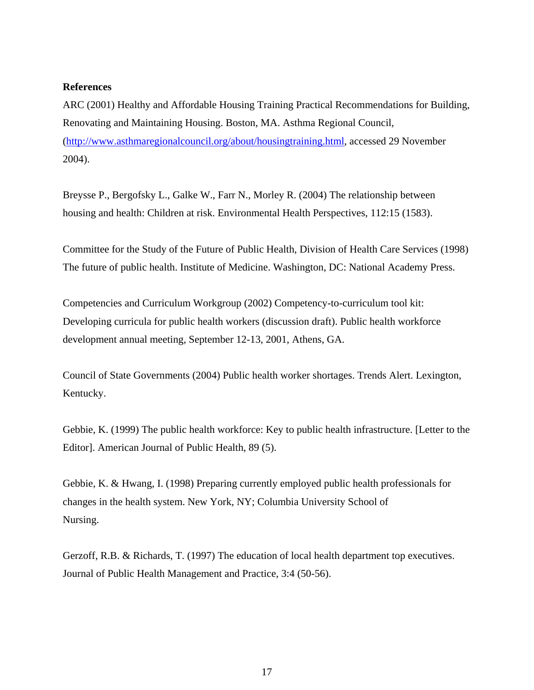## **References**

ARC (2001) Healthy and Affordable Housing Training Practical Recommendations for Building, Renovating and Maintaining Housing. Boston, MA. Asthma Regional Council, ([http://www.asthmaregionalcouncil.org/about/housingtraining.html,](http://www.asthmaregionalcouncil.org/about/housingtraining.html) accessed 29 November 2004).

Breysse P., Bergofsky L., Galke W., Farr N., Morley R. (2004) The relationship between housing and health: Children at risk. Environmental Health Perspectives, 112:15 (1583).

Committee for the Study of the Future of Public Health, Division of Health Care Services (1998) The future of public health. Institute of Medicine. Washington, DC: National Academy Press.

Competencies and Curriculum Workgroup (2002) Competency-to-curriculum tool kit: Developing curricula for public health workers (discussion draft). Public health workforce development annual meeting, September 12-13, 2001, Athens, GA.

Council of State Governments (2004) Public health worker shortages. Trends Alert. Lexington, Kentucky.

Gebbie, K. (1999) The public health workforce: Key to public health infrastructure. [Letter to the Editor]. American Journal of Public Health, 89 (5).

Gebbie, K. & Hwang, I. (1998) Preparing currently employed public health professionals for changes in the health system. New York, NY; Columbia University School of Nursing.

Gerzoff, R.B. & Richards, T. (1997) The education of local health department top executives. Journal of Public Health Management and Practice, 3:4 (50-56).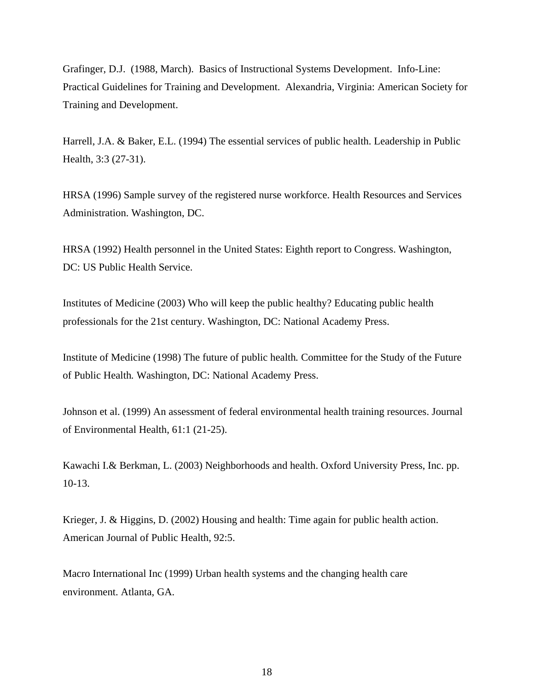Grafinger, D.J. (1988, March). Basics of Instructional Systems Development. Info-Line: Practical Guidelines for Training and Development. Alexandria, Virginia: American Society for Training and Development.

Harrell, J.A. & Baker, E.L. (1994) The essential services of public health. Leadership in Public Health, 3:3 (27-31).

HRSA (1996) Sample survey of the registered nurse workforce. Health Resources and Services Administration. Washington, DC.

HRSA (1992) Health personnel in the United States: Eighth report to Congress. Washington, DC: US Public Health Service.

Institutes of Medicine (2003) Who will keep the public healthy? Educating public health professionals for the 21st century. Washington, DC: National Academy Press.

Institute of Medicine (1998) The future of public health*.* Committee for the Study of the Future of Public Health*.* Washington, DC: National Academy Press.

Johnson et al. (1999) An assessment of federal environmental health training resources. Journal of Environmental Health, 61:1 (21-25).

Kawachi I.& Berkman, L. (2003) Neighborhoods and health. Oxford University Press, Inc. pp. 10-13.

Krieger, J. & Higgins, D. (2002) Housing and health: Time again for public health action. American Journal of Public Health, 92:5.

Macro International Inc (1999) Urban health systems and the changing health care environment. Atlanta, GA.